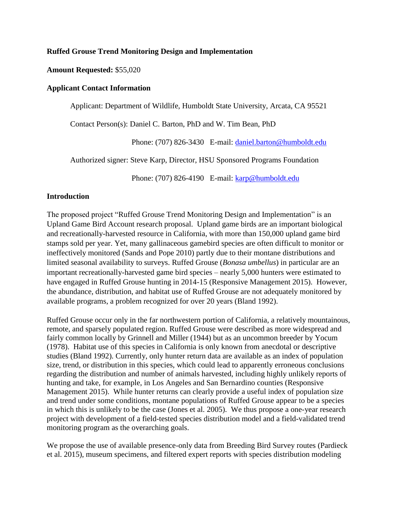## **Ruffed Grouse Trend Monitoring Design and Implementation**

#### **Amount Requested:** \$55,020

#### **Applicant Contact Information**

Applicant: Department of Wildlife, Humboldt State University, Arcata, CA 95521

Contact Person(s): Daniel C. Barton, PhD and W. Tim Bean, PhD

Phone: (707) 826-3430 E-mail: [daniel.barton@humboldt.edu](mailto:daniel.barton@humboldt.edu)

Authorized signer: Steve Karp, Director, HSU Sponsored Programs Foundation

Phone: (707) 826-4190 E-mail: [karp@humboldt.edu](mailto:karp@humboldt.edu)

## **Introduction**

The proposed project "Ruffed Grouse Trend Monitoring Design and Implementation" is an Upland Game Bird Account research proposal. Upland game birds are an important biological and recreationally-harvested resource in California, with more than 150,000 upland game bird stamps sold per year. Yet, many gallinaceous gamebird species are often difficult to monitor or ineffectively monitored (Sands and Pope 2010) partly due to their montane distributions and limited seasonal availability to surveys. Ruffed Grouse (*Bonasa umbellus*) in particular are an important recreationally-harvested game bird species – nearly 5,000 hunters were estimated to have engaged in Ruffed Grouse hunting in 2014-15 (Responsive Management 2015). However, the abundance, distribution, and habitat use of Ruffed Grouse are not adequately monitored by available programs, a problem recognized for over 20 years (Bland 1992).

Ruffed Grouse occur only in the far northwestern portion of California, a relatively mountainous, remote, and sparsely populated region. Ruffed Grouse were described as more widespread and fairly common locally by Grinnell and Miller (1944) but as an uncommon breeder by Yocum (1978). Habitat use of this species in California is only known from anecdotal or descriptive studies (Bland 1992). Currently, only hunter return data are available as an index of population size, trend, or distribution in this species, which could lead to apparently erroneous conclusions regarding the distribution and number of animals harvested, including highly unlikely reports of hunting and take, for example, in Los Angeles and San Bernardino counties (Responsive Management 2015). While hunter returns can clearly provide a useful index of population size and trend under some conditions, montane populations of Ruffed Grouse appear to be a species in which this is unlikely to be the case (Jones et al. 2005). We thus propose a one-year research project with development of a field-tested species distribution model and a field-validated trend monitoring program as the overarching goals.

We propose the use of available presence-only data from Breeding Bird Survey routes (Pardieck et al. 2015), museum specimens, and filtered expert reports with species distribution modeling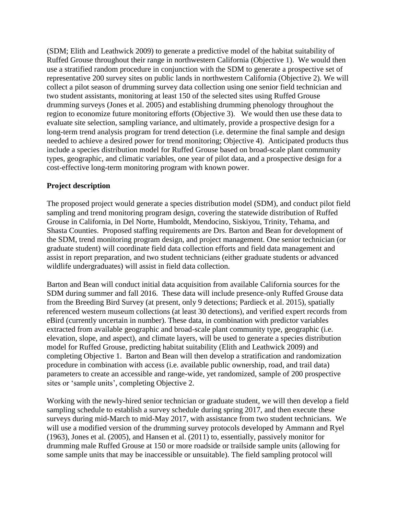(SDM; Elith and Leathwick 2009) to generate a predictive model of the habitat suitability of Ruffed Grouse throughout their range in northwestern California (Objective 1). We would then use a stratified random procedure in conjunction with the SDM to generate a prospective set of representative 200 survey sites on public lands in northwestern California (Objective 2). We will collect a pilot season of drumming survey data collection using one senior field technician and two student assistants, monitoring at least 150 of the selected sites using Ruffed Grouse drumming surveys (Jones et al. 2005) and establishing drumming phenology throughout the region to economize future monitoring efforts (Objective 3). We would then use these data to evaluate site selection, sampling variance, and ultimately, provide a prospective design for a long-term trend analysis program for trend detection (i.e. determine the final sample and design needed to achieve a desired power for trend monitoring; Objective 4). Anticipated products thus include a species distribution model for Ruffed Grouse based on broad-scale plant community types, geographic, and climatic variables, one year of pilot data, and a prospective design for a cost-effective long-term monitoring program with known power.

## **Project description**

The proposed project would generate a species distribution model (SDM), and conduct pilot field sampling and trend monitoring program design, covering the statewide distribution of Ruffed Grouse in California, in Del Norte, Humboldt, Mendocino, Siskiyou, Trinity, Tehama, and Shasta Counties. Proposed staffing requirements are Drs. Barton and Bean for development of the SDM, trend monitoring program design, and project management. One senior technician (or graduate student) will coordinate field data collection efforts and field data management and assist in report preparation, and two student technicians (either graduate students or advanced wildlife undergraduates) will assist in field data collection.

Barton and Bean will conduct initial data acquisition from available California sources for the SDM during summer and fall 2016. These data will include presence-only Ruffed Grouse data from the Breeding Bird Survey (at present, only 9 detections; Pardieck et al. 2015), spatially referenced western museum collections (at least 30 detections), and verified expert records from eBird (currently uncertain in number). These data, in combination with predictor variables extracted from available geographic and broad-scale plant community type, geographic (i.e. elevation, slope, and aspect), and climate layers, will be used to generate a species distribution model for Ruffed Grouse, predicting habitat suitability (Elith and Leathwick 2009) and completing Objective 1. Barton and Bean will then develop a stratification and randomization procedure in combination with access (i.e. available public ownership, road, and trail data) parameters to create an accessible and range-wide, yet randomized, sample of 200 prospective sites or 'sample units', completing Objective 2.

Working with the newly-hired senior technician or graduate student, we will then develop a field sampling schedule to establish a survey schedule during spring 2017, and then execute these surveys during mid-March to mid-May 2017, with assistance from two student technicians. We will use a modified version of the drumming survey protocols developed by Ammann and Ryel (1963), Jones et al. (2005), and Hansen et al. (2011) to, essentially, passively monitor for drumming male Ruffed Grouse at 150 or more roadside or trailside sample units (allowing for some sample units that may be inaccessible or unsuitable). The field sampling protocol will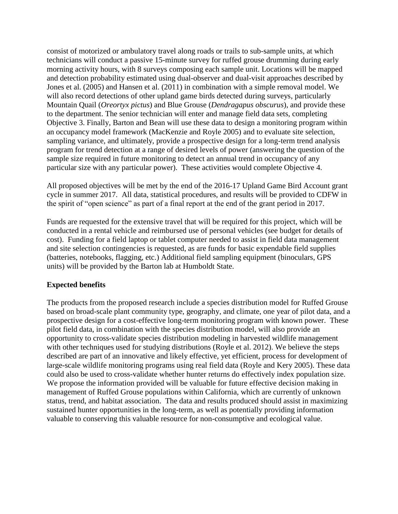consist of motorized or ambulatory travel along roads or trails to sub-sample units, at which technicians will conduct a passive 15-minute survey for ruffed grouse drumming during early morning activity hours, with 8 surveys composing each sample unit. Locations will be mapped and detection probability estimated using dual-observer and dual-visit approaches described by Jones et al. (2005) and Hansen et al. (2011) in combination with a simple removal model. We will also record detections of other upland game birds detected during surveys, particularly Mountain Quail (*Oreortyx pictus*) and Blue Grouse (*Dendragapus obscurus*), and provide these to the department. The senior technician will enter and manage field data sets, completing Objective 3. Finally, Barton and Bean will use these data to design a monitoring program within an occupancy model framework (MacKenzie and Royle 2005) and to evaluate site selection, sampling variance, and ultimately, provide a prospective design for a long-term trend analysis program for trend detection at a range of desired levels of power (answering the question of the sample size required in future monitoring to detect an annual trend in occupancy of any particular size with any particular power). These activities would complete Objective 4.

All proposed objectives will be met by the end of the 2016-17 Upland Game Bird Account grant cycle in summer 2017. All data, statistical procedures, and results will be provided to CDFW in the spirit of "open science" as part of a final report at the end of the grant period in 2017.

Funds are requested for the extensive travel that will be required for this project, which will be conducted in a rental vehicle and reimbursed use of personal vehicles (see budget for details of cost). Funding for a field laptop or tablet computer needed to assist in field data management and site selection contingencies is requested, as are funds for basic expendable field supplies (batteries, notebooks, flagging, etc.) Additional field sampling equipment (binoculars, GPS units) will be provided by the Barton lab at Humboldt State.

#### **Expected benefits**

The products from the proposed research include a species distribution model for Ruffed Grouse based on broad-scale plant community type, geography, and climate, one year of pilot data, and a prospective design for a cost-effective long-term monitoring program with known power. These pilot field data, in combination with the species distribution model, will also provide an opportunity to cross-validate species distribution modeling in harvested wildlife management with other techniques used for studying distributions (Royle et al. 2012). We believe the steps described are part of an innovative and likely effective, yet efficient, process for development of large-scale wildlife monitoring programs using real field data (Royle and Kery 2005). These data could also be used to cross-validate whether hunter returns do effectively index population size. We propose the information provided will be valuable for future effective decision making in management of Ruffed Grouse populations within California, which are currently of unknown status, trend, and habitat association. The data and results produced should assist in maximizing sustained hunter opportunities in the long-term, as well as potentially providing information valuable to conserving this valuable resource for non-consumptive and ecological value.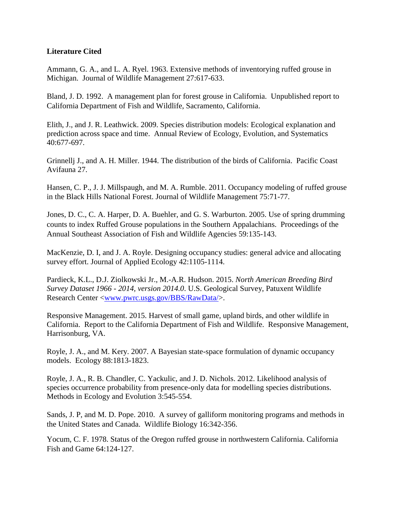## **Literature Cited**

Ammann, G. A., and L. A. Ryel. 1963. Extensive methods of inventorying ruffed grouse in Michigan. Journal of Wildlife Management 27:617-633.

Bland, J. D. 1992. A management plan for forest grouse in California. Unpublished report to California Department of Fish and Wildlife, Sacramento, California.

Elith, J., and J. R. Leathwick. 2009. Species distribution models: Ecological explanation and prediction across space and time. Annual Review of Ecology, Evolution, and Systematics 40:677-697.

Grinnellj J., and A. H. Miller. 1944. The distribution of the birds of California. Pacific Coast Avifauna 27.

Hansen, C. P., J. J. Millspaugh, and M. A. Rumble. 2011. Occupancy modeling of ruffed grouse in the Black Hills National Forest. Journal of Wildlife Management 75:71-77.

Jones, D. C., C. A. Harper, D. A. Buehler, and G. S. Warburton. 2005. Use of spring drumming counts to index Ruffed Grouse populations in the Southern Appalachians. Proceedings of the Annual Southeast Association of Fish and Wildlife Agencies 59:135-143.

MacKenzie, D. I, and J. A. Royle. Designing occupancy studies: general advice and allocating survey effort. Journal of Applied Ecology 42:1105-1114.

Pardieck, K.L., D.J. Ziolkowski Jr., M.-A.R. Hudson. 2015. *North American Breeding Bird Survey Dataset 1966 - 2014, version 2014.0*. U.S. Geological Survey, Patuxent Wildlife Research Center [<www.pwrc.usgs.gov/BBS/RawData/>](https://www.pwrc.usgs.gov/BBS/RawData/).

Responsive Management. 2015. Harvest of small game, upland birds, and other wildlife in California. Report to the California Department of Fish and Wildlife. Responsive Management, Harrisonburg, VA.

Royle, J. A., and M. Kery. 2007. A Bayesian state-space formulation of dynamic occupancy models. Ecology 88:1813-1823.

Royle, J. A., R. B. Chandler, C. Yackulic, and J. D. Nichols. 2012. Likelihood analysis of species occurrence probability from presence-only data for modelling species distributions. Methods in Ecology and Evolution 3:545-554.

Sands, J. P, and M. D. Pope. 2010. A survey of galliform monitoring programs and methods in the United States and Canada. Wildlife Biology 16:342-356.

Yocum, C. F. 1978. Status of the Oregon ruffed grouse in northwestern California. California Fish and Game 64:124-127.